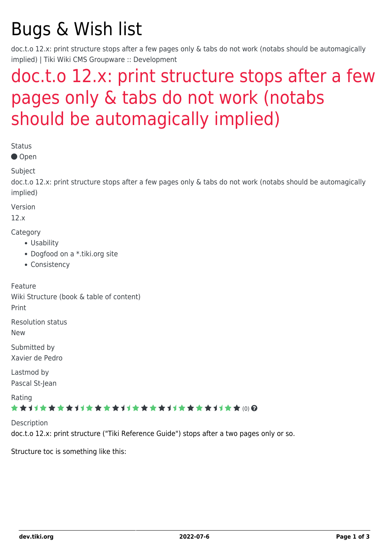# Bugs & Wish list

doc.t.o 12.x: print structure stops after a few pages only & tabs do not work (notabs should be automagically implied) | Tiki Wiki CMS Groupware :: Development

## [doc.t.o 12.x: print structure stops after a few](https://dev.tiki.org/item4917-doc-t-o-12-x-print-structure-stops-after-a-few-pages-only-tabs-do-not-work-notabs-should-be-automagically-implied) [pages only & tabs do not work \(notabs](https://dev.tiki.org/item4917-doc-t-o-12-x-print-structure-stops-after-a-few-pages-only-tabs-do-not-work-notabs-should-be-automagically-implied) [should be automagically implied\)](https://dev.tiki.org/item4917-doc-t-o-12-x-print-structure-stops-after-a-few-pages-only-tabs-do-not-work-notabs-should-be-automagically-implied)

Status

● Open

Subject

doc.t.o 12.x: print structure stops after a few pages only & tabs do not work (notabs should be automagically implied)

Version

12.x

**Category** 

- Usability
- Dogfood on a \*.tiki.org site
- Consistency

Feature Wiki Structure (book & table of content) Print Resolution status New Submitted by Xavier de Pedro Lastmod by

Pascal St-Jean

Rating

#### \*\*\*\*\*\*\*\*\*\*\*\*\*\*\*\*\*\*\*\*\*\*\*\*\*\*\*\*\*\*

**Description** doc.t.o 12.x: print structure ("Tiki Reference Guide") stops after a two pages only or so.

Structure toc is something like this: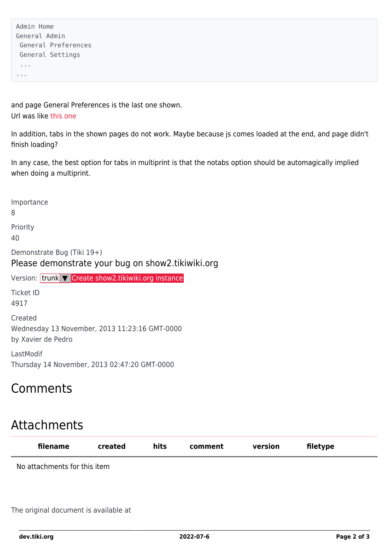```
Admin Home
General Admin
  General Preferences
  General Settings
  ...
...
```
and page General Preferences is the last one shown. Url was like [this one](https://doc.tiki.org/tiki-print_multi_pages.php?printstructures=%255B%25223610%2522%255D&find=&print=Print)

In addition, tabs in the shown pages do not work. Maybe because js comes loaded at the end, and page didn't finish loading?

In any case, the best option for tabs in multiprint is that the notabs option should be automagically implied when doing a multiprint.

Importance 8 Priority 40 Demonstrate Bug (Tiki 19+) Please demonstrate your bug on show2.tikiwiki.org Version: trunk ▼ [Create show2.tikiwiki.org instance](#page--1-0) Ticket ID 4917 Created Wednesday 13 November, 2013 11:23:16 GMT-0000 by Xavier de Pedro LastModif

Thursday 14 November, 2013 02:47:20 GMT-0000

### Comments

## Attachments

| filename                     | created | hits | comment | version | filetype |  |
|------------------------------|---------|------|---------|---------|----------|--|
| No attachments for this item |         |      |         |         |          |  |
|                              |         |      |         |         |          |  |
|                              |         |      |         |         |          |  |

The original document is available at